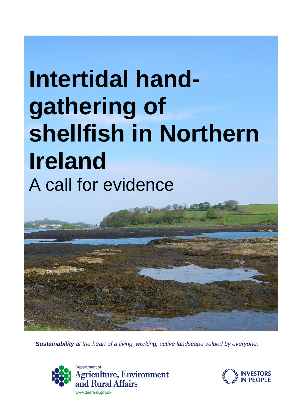# **Intertidal handgathering of shellfish in Northern Ireland** A call for evidence



*Sustainability at the heart of a living, working, active landscape valued by everyone.*



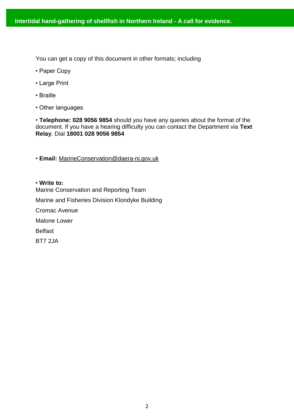You can get a copy of this document in other formats; including

- Paper Copy
- Large Print
- Braille
- Other languages

• **Telephone: 028 9056 9854** should you have any queries about the format of the document. If you have a hearing difficulty you can contact the Department via **Text Relay**. Dial **18001 028 9056 9854**

• **Email:** MarineConservation@daera-ni.gov.uk

• **Write to:**  Marine Conservation and Reporting Team Marine and Fisheries Division Klondyke Building Cromac Avenue Malone Lower Belfast BT7 2JA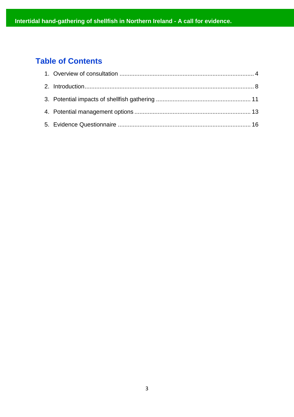# **Table of Contents**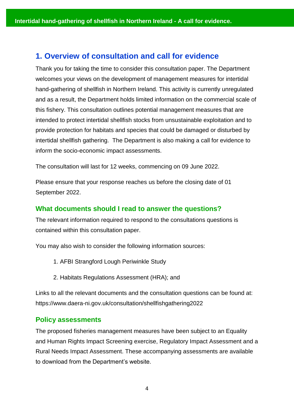## <span id="page-3-0"></span>**1. Overview of consultation and call for evidence**

Thank you for taking the time to consider this consultation paper. The Department welcomes your views on the development of management measures for intertidal hand-gathering of shellfish in Northern Ireland. This activity is currently unregulated and as a result, the Department holds limited information on the commercial scale of this fishery. This consultation outlines potential management measures that are intended to protect intertidal shellfish stocks from unsustainable exploitation and to provide protection for habitats and species that could be damaged or disturbed by intertidal shellfish gathering. The Department is also making a call for evidence to inform the socio-economic impact assessments.

The consultation will last for 12 weeks, commencing on 09 June 2022.

Please ensure that your response reaches us before the closing date of 01 September 2022.

#### **What documents should I read to answer the questions?**

The relevant information required to respond to the consultations questions is contained within this consultation paper.

You may also wish to consider the following information sources:

- 1. AFBI Strangford Lough Periwinkle Study
- 2. Habitats Regulations Assessment (HRA); and

Links to all the relevant documents and the consultation questions can be found at: https://www.daera-ni.gov.uk/consultation/shellfishgathering2022

#### **Policy assessments**

The proposed fisheries management measures have been subject to an Equality and Human Rights Impact Screening exercise, Regulatory Impact Assessment and a Rural Needs Impact Assessment. These accompanying assessments are available to download from the Department's website.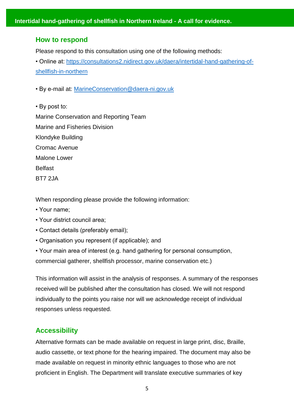#### **How to respond**

Please respond to this consultation using one of the following methods:

• Online at: [https://consultations2.nidirect.gov.uk/daera/intertidal-hand-gathering-of](https://consultations2.nidirect.gov.uk/daera/intertidal-hand-gathering-of-shellfish-in-northern)[shellfish-in-northern](https://consultations2.nidirect.gov.uk/daera/intertidal-hand-gathering-of-shellfish-in-northern)

• By e-mail at: [MarineConservation@daera-ni.gov.uk](mailto:MarineConservation@daera-ni.gov.uk)

• By post to: Marine Conservation and Reporting Team Marine and Fisheries Division Klondyke Building Cromac Avenue Malone Lower **Belfast** BT7 2JA

When responding please provide the following information:

- Your name;
- Your district council area;
- Contact details (preferably email);
- Organisation you represent (if applicable); and

• Your main area of interest (e.g. hand gathering for personal consumption, commercial gatherer, shellfish processor, marine conservation etc.)

This information will assist in the analysis of responses. A summary of the responses received will be published after the consultation has closed. We will not respond individually to the points you raise nor will we acknowledge receipt of individual responses unless requested.

#### **Accessibility**

Alternative formats can be made available on request in large print, disc, Braille, audio cassette, or text phone for the hearing impaired. The document may also be made available on request in minority ethnic languages to those who are not proficient in English. The Department will translate executive summaries of key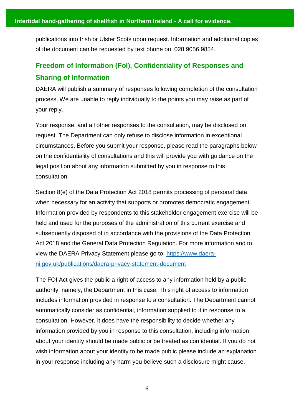publications into Irish or Ulster Scots upon request. Information and additional copies of the document can be requested by text phone on: 028 9056 9854.

# **Freedom of Information (FoI), Confidentiality of Responses and Sharing of Information**

DAERA will publish a summary of responses following completion of the consultation process. We are unable to reply individually to the points you may raise as part of your reply.

Your response, and all other responses to the consultation, may be disclosed on request. The Department can only refuse to disclose information in exceptional circumstances. Before you submit your response, please read the paragraphs below on the confidentiality of consultations and this will provide you with guidance on the legal position about any information submitted by you in response to this consultation.

Section 8(e) of the Data Protection Act 2018 permits processing of personal data when necessary for an activity that supports or promotes democratic engagement. Information provided by respondents to this stakeholder engagement exercise will be held and used for the purposes of the administration of this current exercise and subsequently disposed of in accordance with the provisions of the Data Protection Act 2018 and the General Data Protection Regulation. For more information and to view the DAERA Privacy Statement please go to: [https://www.daera](https://www.daera-ni.gov.uk/publications/daera-privacy-statement-document)[ni.gov.uk/publications/daera-privacy-statement-document](https://www.daera-ni.gov.uk/publications/daera-privacy-statement-document)

The FOI Act gives the public a right of access to any information held by a public authority, namely, the Department in this case. This right of access to information includes information provided in response to a consultation. The Department cannot automatically consider as confidential, information supplied to it in response to a consultation. However, it does have the responsibility to decide whether any information provided by you in response to this consultation, including information about your identity should be made public or be treated as confidential. If you do not wish information about your identity to be made public please include an explanation in your response including any harm you believe such a disclosure might cause.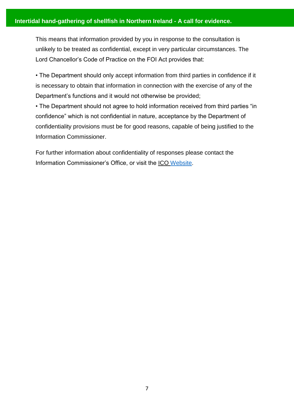This means that information provided by you in response to the consultation is unlikely to be treated as confidential, except in very particular circumstances. The Lord Chancellor's Code of Practice on the FOI Act provides that:

• The Department should only accept information from third parties in confidence if it is necessary to obtain that information in connection with the exercise of any of the Department's functions and it would not otherwise be provided;

• The Department should not agree to hold information received from third parties "in confidence" which is not confidential in nature, acceptance by the Department of confidentiality provisions must be for good reasons, capable of being justified to the Information Commissioner.

For further information about confidentiality of responses please contact the Information Commissioner's Office, or visit the ICO [Website.](https://ico.org.uk/)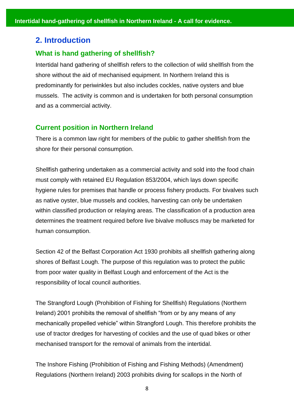## <span id="page-7-0"></span>**2. Introduction**

#### **What is hand gathering of shellfish?**

Intertidal hand gathering of shellfish refers to the collection of wild shellfish from the shore without the aid of mechanised equipment. In Northern Ireland this is predominantly for periwinkles but also includes cockles, native oysters and blue mussels. The activity is common and is undertaken for both personal consumption and as a commercial activity.

#### **Current position in Northern Ireland**

There is a common law right for members of the public to gather shellfish from the shore for their personal consumption.

Shellfish gathering undertaken as a commercial activity and sold into the food chain must comply with retained EU Regulation 853/2004, which lays down specific hygiene rules for premises that handle or process fishery products. For bivalves such as native oyster, blue mussels and cockles, harvesting can only be undertaken within classified production or relaying areas. The classification of a production area determines the treatment required before live bivalve molluscs may be marketed for human consumption.

Section 42 of the Belfast Corporation Act 1930 prohibits all shellfish gathering along shores of Belfast Lough. The purpose of this regulation was to protect the public from poor water quality in Belfast Lough and enforcement of the Act is the responsibility of local council authorities.

The Strangford Lough (Prohibition of Fishing for Shellfish) Regulations (Northern Ireland) 2001 prohibits the removal of shellfish "from or by any means of any mechanically propelled vehicle" within Strangford Lough. This therefore prohibits the use of tractor dredges for harvesting of cockles and the use of quad bikes or other mechanised transport for the removal of animals from the intertidal.

The Inshore Fishing (Prohibition of Fishing and Fishing Methods) (Amendment) Regulations (Northern Ireland) 2003 prohibits diving for scallops in the North of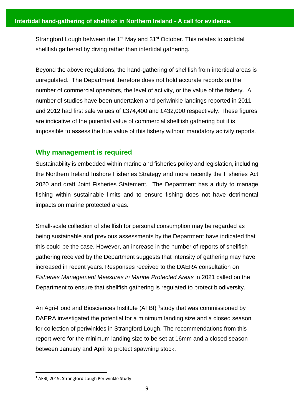Strangford Lough between the 1<sup>st</sup> May and 31<sup>st</sup> October. This relates to subtidal shellfish gathered by diving rather than intertidal gathering.

Beyond the above regulations, the hand-gathering of shellfish from intertidal areas is unregulated. The Department therefore does not hold accurate records on the number of commercial operators, the level of activity, or the value of the fishery. A number of studies have been undertaken and periwinkle landings reported in 2011 and 2012 had first sale values of £374,400 and £432,000 respectively. These figures are indicative of the potential value of commercial shellfish gathering but it is impossible to assess the true value of this fishery without mandatory activity reports.

#### **Why management is required**

Sustainability is embedded within marine and fisheries policy and legislation, including the Northern Ireland Inshore Fisheries Strategy and more recently the Fisheries Act 2020 and draft Joint Fisheries Statement. The Department has a duty to manage fishing within sustainable limits and to ensure fishing does not have detrimental impacts on marine protected areas.

Small-scale collection of shellfish for personal consumption may be regarded as being sustainable and previous assessments by the Department have indicated that this could be the case. However, an increase in the number of reports of shellfish gathering received by the Department suggests that intensity of gathering may have increased in recent years. Responses received to the DAERA consultation on *Fisheries Management Measures in Marine Protected Areas* in 2021 called on the Department to ensure that shellfish gathering is regulated to protect biodiversity.

An Agri-Food and Biosciences Institute (AFBI) <sup>1</sup>study that was commissioned by DAERA investigated the potential for a minimum landing size and a closed season for collection of periwinkles in Strangford Lough. The recommendations from this report were for the minimum landing size to be set at 16mm and a closed season between January and April to protect spawning stock.

 $\overline{a}$ 

<sup>1</sup> AFBI, 2019. Strangford Lough Periwinkle Study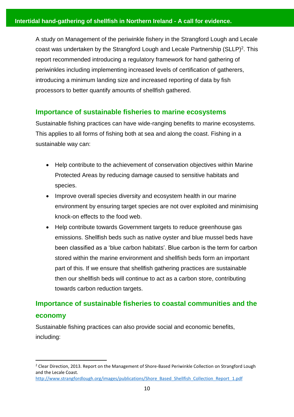A study on Management of the periwinkle fishery in the Strangford Lough and Lecale coast was undertaken by the Strangford Lough and Lecale Partnership  $(SLLP)^2$ . This report recommended introducing a regulatory framework for hand gathering of periwinkles including implementing increased levels of certification of gatherers, introducing a minimum landing size and increased reporting of data by fish processors to better quantify amounts of shellfish gathered.

### **Importance of sustainable fisheries to marine ecosystems**

Sustainable fishing practices can have wide-ranging benefits to marine ecosystems. This applies to all forms of fishing both at sea and along the coast. Fishing in a sustainable way can:

- Help contribute to the achievement of conservation objectives within Marine Protected Areas by reducing damage caused to sensitive habitats and species.
- Improve overall species diversity and ecosystem health in our marine environment by ensuring target species are not over exploited and minimising knock-on effects to the food web.
- Help contribute towards Government targets to reduce greenhouse gas emissions. Shellfish beds such as native oyster and blue mussel beds have been classified as a 'blue carbon habitats'. Blue carbon is the term for carbon stored within the marine environment and shellfish beds form an important part of this. If we ensure that shellfish gathering practices are sustainable then our shellfish beds will continue to act as a carbon store, contributing towards carbon reduction targets.

# **Importance of sustainable fisheries to coastal communities and the economy**

Sustainable fishing practices can also provide social and economic benefits, including:

l

<sup>&</sup>lt;sup>2</sup> Clear Direction, 2013. Report on the Management of Shore-Based Periwinkle Collection on Strangford Lough and the Lecale Coast. [http://www.strangfordlough.org/images/publications/Shore\\_Based\\_Shellfish\\_Collection\\_Report\\_1.pdf](http://www.strangfordlough.org/images/publications/Shore_Based_Shellfish_Collection_Report_1.pdf)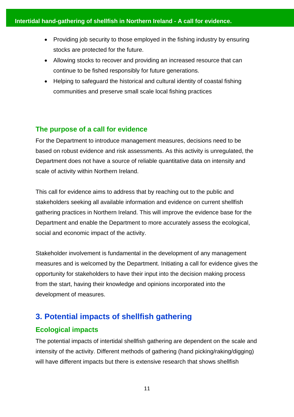- Providing job security to those employed in the fishing industry by ensuring stocks are protected for the future.
- Allowing stocks to recover and providing an increased resource that can continue to be fished responsibly for future generations.
- Helping to safeguard the historical and cultural identity of coastal fishing communities and preserve small scale local fishing practices

## **The purpose of a call for evidence**

For the Department to introduce management measures, decisions need to be based on robust evidence and risk assessments. As this activity is unregulated, the Department does not have a source of reliable quantitative data on intensity and scale of activity within Northern Ireland.

This call for evidence aims to address that by reaching out to the public and stakeholders seeking all available information and evidence on current shellfish gathering practices in Northern Ireland. This will improve the evidence base for the Department and enable the Department to more accurately assess the ecological, social and economic impact of the activity.

Stakeholder involvement is fundamental in the development of any management measures and is welcomed by the Department. Initiating a call for evidence gives the opportunity for stakeholders to have their input into the decision making process from the start, having their knowledge and opinions incorporated into the development of measures.

# **3. Potential impacts of shellfish gathering**

## **Ecological impacts**

The potential impacts of intertidal shellfish gathering are dependent on the scale and intensity of the activity. Different methods of gathering (hand picking/raking/digging) will have different impacts but there is extensive research that shows shellfish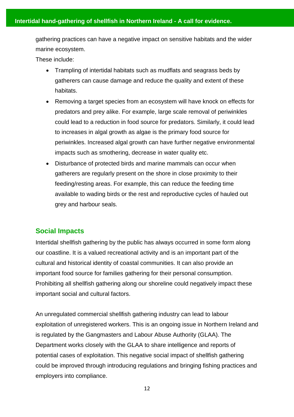gathering practices can have a negative impact on sensitive habitats and the wider marine ecosystem.

These include:

- Trampling of intertidal habitats such as mudflats and seagrass beds by gatherers can cause damage and reduce the quality and extent of these habitats.
- Removing a target species from an ecosystem will have knock on effects for predators and prey alike. For example, large scale removal of periwinkles could lead to a reduction in food source for predators. Similarly, it could lead to increases in algal growth as algae is the primary food source for periwinkles. Increased algal growth can have further negative environmental impacts such as smothering, decrease in water quality etc.
- Disturbance of protected birds and marine mammals can occur when gatherers are regularly present on the shore in close proximity to their feeding/resting areas. For example, this can reduce the feeding time available to wading birds or the rest and reproductive cycles of hauled out grey and harbour seals.

## **Social Impacts**

Intertidal shellfish gathering by the public has always occurred in some form along our coastline. It is a valued recreational activity and is an important part of the cultural and historical identity of coastal communities. It can also provide an important food source for families gathering for their personal consumption. Prohibiting all shellfish gathering along our shoreline could negatively impact these important social and cultural factors.

An unregulated commercial shellfish gathering industry can lead to labour exploitation of unregistered workers. This is an ongoing issue in Northern Ireland and is regulated by the Gangmasters and Labour Abuse Authority (GLAA). The Department works closely with the GLAA to share intelligence and reports of potential cases of exploitation. This negative social impact of shellfish gathering could be improved through introducing regulations and bringing fishing practices and employers into compliance.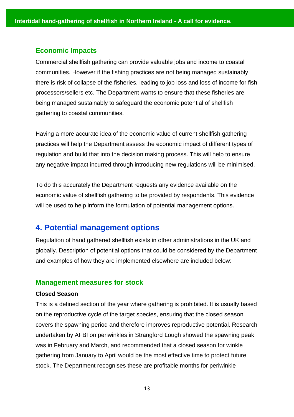#### **Economic Impacts**

Commercial shellfish gathering can provide valuable jobs and income to coastal communities. However if the fishing practices are not being managed sustainably there is risk of collapse of the fisheries, leading to job loss and loss of income for fish processors/sellers etc. The Department wants to ensure that these fisheries are being managed sustainably to safeguard the economic potential of shellfish gathering to coastal communities.

Having a more accurate idea of the economic value of current shellfish gathering practices will help the Department assess the economic impact of different types of regulation and build that into the decision making process. This will help to ensure any negative impact incurred through introducing new regulations will be minimised.

To do this accurately the Department requests any evidence available on the economic value of shellfish gathering to be provided by respondents. This evidence will be used to help inform the formulation of potential management options.

## **4. Potential management options**

Regulation of hand gathered shellfish exists in other administrations in the UK and globally. Description of potential options that could be considered by the Department and examples of how they are implemented elsewhere are included below:

#### **Management measures for stock**

#### **Closed Season**

This is a defined section of the year where gathering is prohibited. It is usually based on the reproductive cycle of the target species, ensuring that the closed season covers the spawning period and therefore improves reproductive potential. Research undertaken by AFBI on periwinkles in Strangford Lough showed the spawning peak was in February and March, and recommended that a closed season for winkle gathering from January to April would be the most effective time to protect future stock. The Department recognises these are profitable months for periwinkle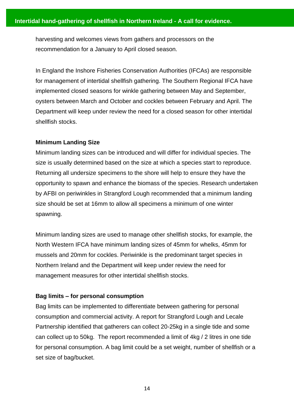harvesting and welcomes views from gathers and processors on the recommendation for a January to April closed season.

In England the Inshore Fisheries Conservation Authorities (IFCAs) are responsible for management of intertidal shellfish gathering. The Southern Regional IFCA have implemented closed seasons for winkle gathering between May and September, oysters between March and October and cockles between February and April. The Department will keep under review the need for a closed season for other intertidal shellfish stocks.

#### **Minimum Landing Size**

Minimum landing sizes can be introduced and will differ for individual species. The size is usually determined based on the size at which a species start to reproduce. Returning all undersize specimens to the shore will help to ensure they have the opportunity to spawn and enhance the biomass of the species. Research undertaken by AFBI on periwinkles in Strangford Lough recommended that a minimum landing size should be set at 16mm to allow all specimens a minimum of one winter spawning.

Minimum landing sizes are used to manage other shellfish stocks, for example, the North Western IFCA have minimum landing sizes of 45mm for whelks, 45mm for mussels and 20mm for cockles. Periwinkle is the predominant target species in Northern Ireland and the Department will keep under review the need for management measures for other intertidal shellfish stocks.

#### **Bag limits – for personal consumption**

Bag limits can be implemented to differentiate between gathering for personal consumption and commercial activity. A report for Strangford Lough and Lecale Partnership identified that gatherers can collect 20-25kg in a single tide and some can collect up to 50kg. The report recommended a limit of 4kg / 2 litres in one tide for personal consumption. A bag limit could be a set weight, number of shellfish or a set size of bag/bucket.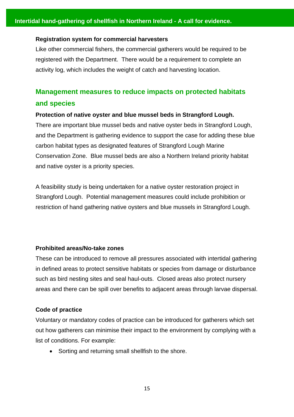#### **Registration system for commercial harvesters**

Like other commercial fishers, the commercial gatherers would be required to be registered with the Department. There would be a requirement to complete an activity log, which includes the weight of catch and harvesting location.

## **Management measures to reduce impacts on protected habitats and species**

#### **Protection of native oyster and blue mussel beds in Strangford Lough.**

There are important blue mussel beds and native oyster beds in Strangford Lough, and the Department is gathering evidence to support the case for adding these blue carbon habitat types as designated features of Strangford Lough Marine Conservation Zone. Blue mussel beds are also a Northern Ireland priority habitat and native oyster is a priority species.

A feasibility study is being undertaken for a native oyster restoration project in Strangford Lough. Potential management measures could include prohibition or restriction of hand gathering native oysters and blue mussels in Strangford Lough.

#### **Prohibited areas/No-take zones**

These can be introduced to remove all pressures associated with intertidal gathering in defined areas to protect sensitive habitats or species from damage or disturbance such as bird nesting sites and seal haul-outs. Closed areas also protect nursery areas and there can be spill over benefits to adjacent areas through larvae dispersal.

#### **Code of practice**

Voluntary or mandatory codes of practice can be introduced for gatherers which set out how gatherers can minimise their impact to the environment by complying with a list of conditions. For example:

• Sorting and returning small shellfish to the shore.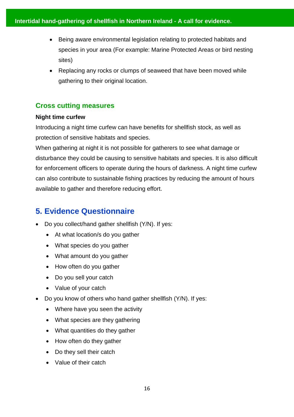- Being aware environmental legislation relating to protected habitats and species in your area (For example: Marine Protected Areas or bird nesting sites)
- Replacing any rocks or clumps of seaweed that have been moved while gathering to their original location.

## **Cross cutting measures**

#### **Night time curfew**

Introducing a night time curfew can have benefits for shellfish stock, as well as protection of sensitive habitats and species.

When gathering at night it is not possible for gatherers to see what damage or disturbance they could be causing to sensitive habitats and species. It is also difficult for enforcement officers to operate during the hours of darkness. A night time curfew can also contribute to sustainable fishing practices by reducing the amount of hours available to gather and therefore reducing effort.

# **5. Evidence Questionnaire**

- Do you collect/hand gather shellfish (Y/N). If yes:
	- At what location/s do you gather
	- What species do you gather
	- What amount do you gather
	- How often do you gather
	- Do you sell your catch
	- Value of your catch
- Do you know of others who hand gather shellfish (Y/N). If yes:
	- Where have you seen the activity
	- What species are they gathering
	- What quantities do they gather
	- How often do they gather
	- Do they sell their catch
	- Value of their catch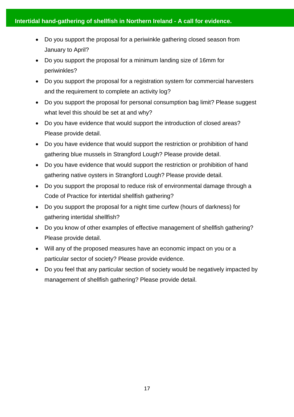- Do you support the proposal for a periwinkle gathering closed season from January to April?
- Do you support the proposal for a minimum landing size of 16mm for periwinkles?
- Do you support the proposal for a registration system for commercial harvesters and the requirement to complete an activity log?
- Do you support the proposal for personal consumption bag limit? Please suggest what level this should be set at and why?
- Do you have evidence that would support the introduction of closed areas? Please provide detail.
- Do you have evidence that would support the restriction or prohibition of hand gathering blue mussels in Strangford Lough? Please provide detail.
- Do you have evidence that would support the restriction or prohibition of hand gathering native oysters in Strangford Lough? Please provide detail.
- Do you support the proposal to reduce risk of environmental damage through a Code of Practice for intertidal shellfish gathering?
- Do you support the proposal for a night time curfew (hours of darkness) for gathering intertidal shellfish?
- Do you know of other examples of effective management of shellfish gathering? Please provide detail.
- Will any of the proposed measures have an economic impact on you or a particular sector of society? Please provide evidence.
- Do you feel that any particular section of society would be negatively impacted by management of shellfish gathering? Please provide detail.